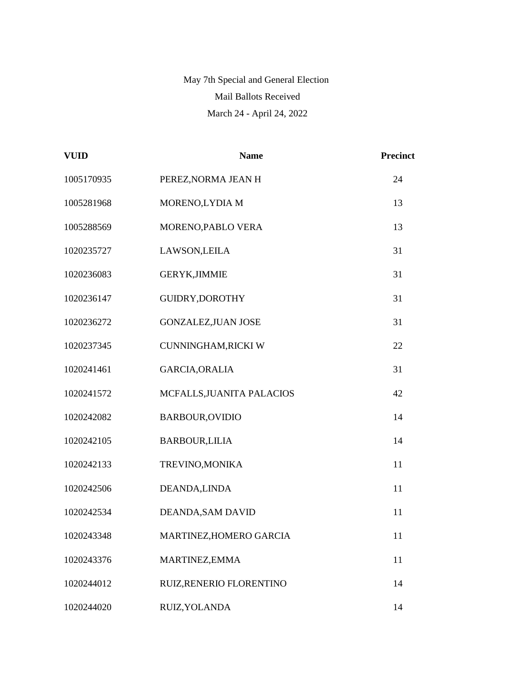## May 7th Special and General Election Mail Ballots Received March 24 - April 24, 2022

| <b>VUID</b> | <b>Name</b>                | <b>Precinct</b> |
|-------------|----------------------------|-----------------|
| 1005170935  | PEREZ, NORMA JEAN H        | 24              |
| 1005281968  | MORENO,LYDIA M             | 13              |
| 1005288569  | MORENO, PABLO VERA         | 13              |
| 1020235727  | LAWSON, LEILA              | 31              |
| 1020236083  | <b>GERYK, JIMMIE</b>       | 31              |
| 1020236147  | GUIDRY, DOROTHY            | 31              |
| 1020236272  | <b>GONZALEZ, JUAN JOSE</b> | 31              |
| 1020237345  | CUNNINGHAM, RICKI W        | 22              |
| 1020241461  | GARCIA, ORALIA             | 31              |
| 1020241572  | MCFALLS, JUANITA PALACIOS  | 42              |
| 1020242082  | <b>BARBOUR, OVIDIO</b>     | 14              |
| 1020242105  | <b>BARBOUR,LILIA</b>       | 14              |
| 1020242133  | TREVINO, MONIKA            | 11              |
| 1020242506  | DEANDA, LINDA              | 11              |
| 1020242534  | DEANDA, SAM DAVID          | 11              |
| 1020243348  | MARTINEZ, HOMERO GARCIA    | 11              |
| 1020243376  | MARTINEZ, EMMA             | 11              |
| 1020244012  | RUIZ, RENERIO FLORENTINO   | 14              |
| 1020244020  | RUIZ, YOLANDA              | 14              |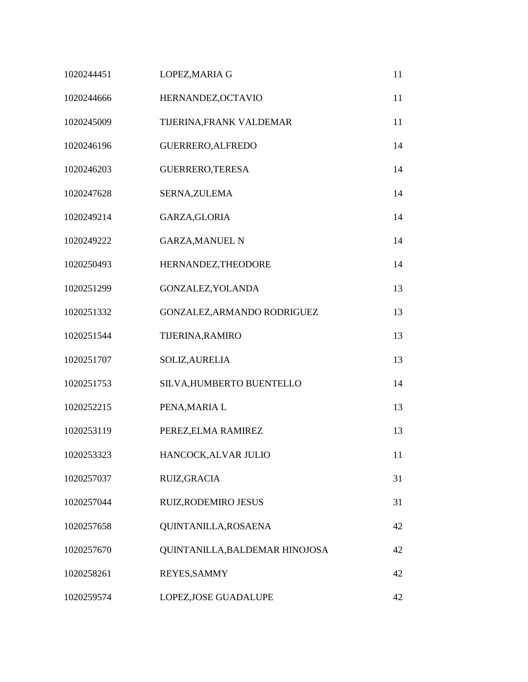| 1020244451 | LOPEZ, MARIA G                 | 11 |
|------------|--------------------------------|----|
| 1020244666 | HERNANDEZ, OCTAVIO             | 11 |
| 1020245009 | TIJERINA, FRANK VALDEMAR       | 11 |
| 1020246196 | GUERRERO, ALFREDO              | 14 |
| 1020246203 | GUERRERO, TERESA               | 14 |
| 1020247628 | SERNA, ZULEMA                  | 14 |
| 1020249214 | GARZA, GLORIA                  | 14 |
| 1020249222 | <b>GARZA, MANUEL N</b>         | 14 |
| 1020250493 | HERNANDEZ, THEODORE            | 14 |
| 1020251299 | GONZALEZ, YOLANDA              | 13 |
| 1020251332 | GONZALEZ, ARMANDO RODRIGUEZ    | 13 |
| 1020251544 | TIJERINA, RAMIRO               | 13 |
| 1020251707 | SOLIZ, AURELIA                 | 13 |
| 1020251753 | SILVA, HUMBERTO BUENTELLO      | 14 |
| 1020252215 | PENA, MARIA L                  | 13 |
| 1020253119 | PEREZ, ELMA RAMIREZ            | 13 |
| 1020253323 | HANCOCK, ALVAR JULIO           | 11 |
| 1020257037 | RUIZ, GRACIA                   | 31 |
| 1020257044 | RUIZ, RODEMIRO JESUS           | 31 |
| 1020257658 | QUINTANILLA, ROSAENA           | 42 |
| 1020257670 | QUINTANILLA, BALDEMAR HINOJOSA | 42 |
| 1020258261 | REYES, SAMMY                   | 42 |
| 1020259574 | LOPEZ, JOSE GUADALUPE          | 42 |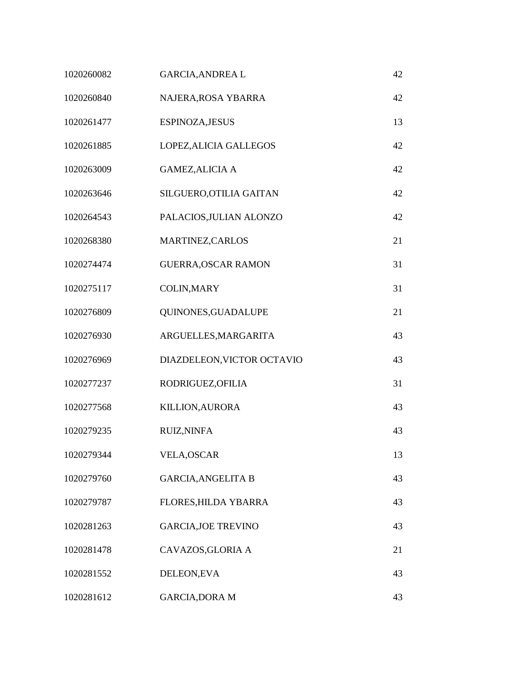| 1020260082 | <b>GARCIA, ANDREA L</b>    | 42 |
|------------|----------------------------|----|
| 1020260840 | NAJERA, ROSA YBARRA        | 42 |
| 1020261477 | ESPINOZA, JESUS            | 13 |
| 1020261885 | LOPEZ, ALICIA GALLEGOS     | 42 |
| 1020263009 | <b>GAMEZ, ALICIA A</b>     | 42 |
| 1020263646 | SILGUERO, OTILIA GAITAN    | 42 |
| 1020264543 | PALACIOS, JULIAN ALONZO    | 42 |
| 1020268380 | MARTINEZ, CARLOS           | 21 |
| 1020274474 | <b>GUERRA, OSCAR RAMON</b> | 31 |
| 1020275117 | <b>COLIN, MARY</b>         | 31 |
| 1020276809 | QUINONES, GUADALUPE        | 21 |
| 1020276930 | ARGUELLES, MARGARITA       | 43 |
| 1020276969 | DIAZDELEON, VICTOR OCTAVIO | 43 |
| 1020277237 | RODRIGUEZ, OFILIA          | 31 |
| 1020277568 | <b>KILLION, AURORA</b>     | 43 |
| 1020279235 | <b>RUIZ, NINFA</b>         | 43 |
| 1020279344 | <b>VELA, OSCAR</b>         | 13 |
| 1020279760 | <b>GARCIA, ANGELITA B</b>  | 43 |
| 1020279787 | FLORES, HILDA YBARRA       | 43 |
| 1020281263 | <b>GARCIA, JOE TREVINO</b> | 43 |
| 1020281478 | CAVAZOS, GLORIA A          | 21 |
| 1020281552 | DELEON, EVA                | 43 |
| 1020281612 | <b>GARCIA, DORA M</b>      | 43 |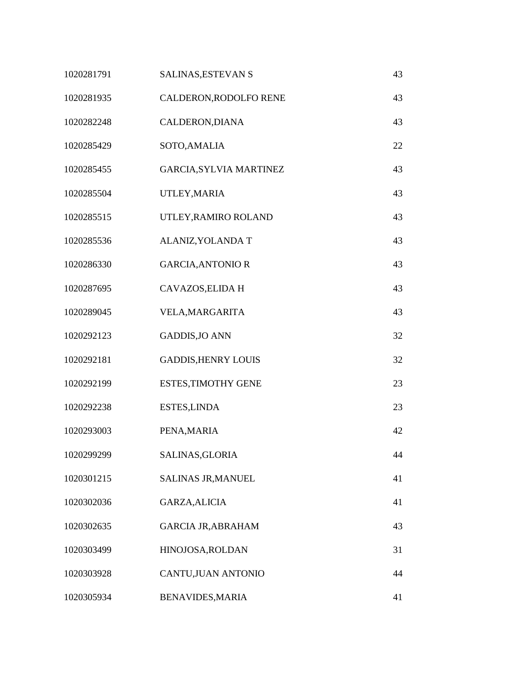| 1020281791 | SALINAS, ESTEVAN S             | 43 |
|------------|--------------------------------|----|
| 1020281935 | CALDERON, RODOLFO RENE         | 43 |
| 1020282248 | CALDERON, DIANA                | 43 |
| 1020285429 | SOTO, AMALIA                   | 22 |
| 1020285455 | <b>GARCIA, SYLVIA MARTINEZ</b> | 43 |
| 1020285504 | UTLEY, MARIA                   | 43 |
| 1020285515 | UTLEY, RAMIRO ROLAND           | 43 |
| 1020285536 | ALANIZ, YOLANDA T              | 43 |
| 1020286330 | <b>GARCIA, ANTONIO R</b>       | 43 |
| 1020287695 | CAVAZOS, ELIDA H               | 43 |
| 1020289045 | VELA, MARGARITA                | 43 |
| 1020292123 | <b>GADDIS, JO ANN</b>          | 32 |
| 1020292181 | <b>GADDIS, HENRY LOUIS</b>     | 32 |
| 1020292199 | <b>ESTES, TIMOTHY GENE</b>     | 23 |
| 1020292238 | <b>ESTES, LINDA</b>            | 23 |
| 1020293003 | PENA, MARIA                    | 42 |
| 1020299299 | SALINAS, GLORIA                | 44 |
| 1020301215 | SALINAS JR, MANUEL             | 41 |
| 1020302036 | GARZA, ALICIA                  | 41 |
| 1020302635 | <b>GARCIA JR, ABRAHAM</b>      | 43 |
| 1020303499 | HINOJOSA, ROLDAN               | 31 |
| 1020303928 | CANTU, JUAN ANTONIO            | 44 |
| 1020305934 | <b>BENAVIDES, MARIA</b>        | 41 |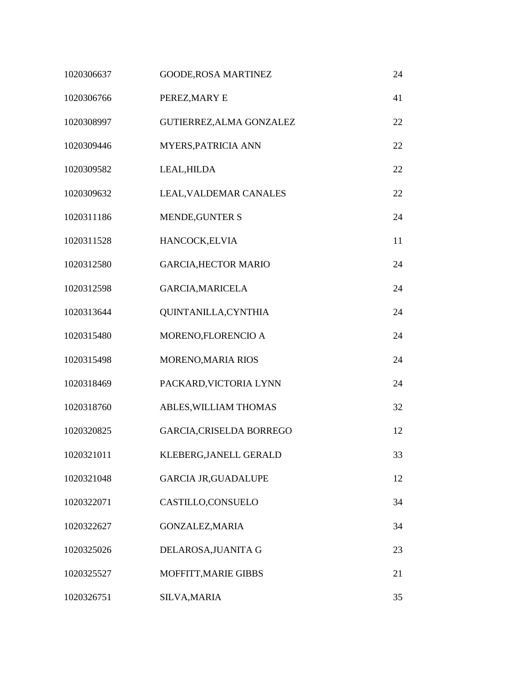| 1020306637 | <b>GOODE, ROSA MARTINEZ</b>     | 24 |
|------------|---------------------------------|----|
| 1020306766 | PEREZ, MARY E                   | 41 |
| 1020308997 | GUTIERREZ, ALMA GONZALEZ        | 22 |
| 1020309446 | MYERS, PATRICIA ANN             | 22 |
| 1020309582 | LEAL, HILDA                     | 22 |
| 1020309632 | LEAL, VALDEMAR CANALES          | 22 |
| 1020311186 | MENDE, GUNTER S                 | 24 |
| 1020311528 | HANCOCK, ELVIA                  | 11 |
| 1020312580 | <b>GARCIA, HECTOR MARIO</b>     | 24 |
| 1020312598 | <b>GARCIA, MARICELA</b>         | 24 |
| 1020313644 | QUINTANILLA, CYNTHIA            | 24 |
| 1020315480 | MORENO,FLORENCIO A              | 24 |
| 1020315498 | MORENO, MARIA RIOS              | 24 |
| 1020318469 | PACKARD, VICTORIA LYNN          | 24 |
| 1020318760 | ABLES, WILLIAM THOMAS           | 32 |
| 1020320825 | <b>GARCIA, CRISELDA BORREGO</b> | 12 |
| 1020321011 | KLEBERG, JANELL GERALD          | 33 |
| 1020321048 | <b>GARCIA JR, GUADALUPE</b>     | 12 |
| 1020322071 | CASTILLO,CONSUELO               | 34 |
| 1020322627 | GONZALEZ, MARIA                 | 34 |
| 1020325026 | DELAROSA, JUANITA G             | 23 |
| 1020325527 | MOFFITT, MARIE GIBBS            | 21 |
| 1020326751 | <b>SILVA, MARIA</b>             | 35 |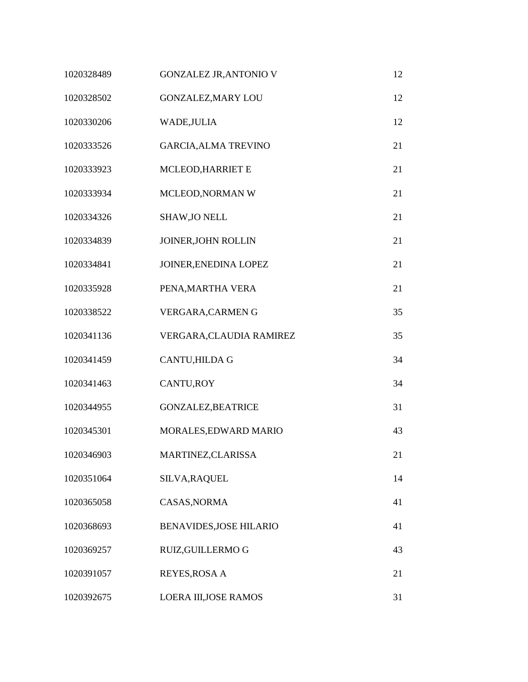| 1020328489 | <b>GONZALEZ JR, ANTONIO V</b>  | 12 |
|------------|--------------------------------|----|
| 1020328502 | <b>GONZALEZ, MARY LOU</b>      | 12 |
| 1020330206 | WADE, JULIA                    | 12 |
| 1020333526 | <b>GARCIA, ALMA TREVINO</b>    | 21 |
| 1020333923 | MCLEOD, HARRIET E              | 21 |
| 1020333934 | MCLEOD, NORMAN W               | 21 |
| 1020334326 | <b>SHAW, JO NELL</b>           | 21 |
| 1020334839 | JOINER, JOHN ROLLIN            | 21 |
| 1020334841 | JOINER, ENEDINA LOPEZ          | 21 |
| 1020335928 | PENA, MARTHA VERA              | 21 |
| 1020338522 | VERGARA, CARMENG               | 35 |
| 1020341136 | VERGARA, CLAUDIA RAMIREZ       | 35 |
| 1020341459 | CANTU, HILDA G                 | 34 |
| 1020341463 | CANTU, ROY                     | 34 |
| 1020344955 | <b>GONZALEZ, BEATRICE</b>      | 31 |
| 1020345301 | MORALES, EDWARD MARIO          | 43 |
| 1020346903 | MARTINEZ, CLARISSA             | 21 |
| 1020351064 | SILVA, RAQUEL                  | 14 |
| 1020365058 | CASAS, NORMA                   | 41 |
| 1020368693 | <b>BENAVIDES, JOSE HILARIO</b> | 41 |
| 1020369257 | RUIZ, GUILLERMO G              | 43 |
| 1020391057 | <b>REYES, ROSA A</b>           | 21 |
| 1020392675 | LOERA III, JOSE RAMOS          | 31 |